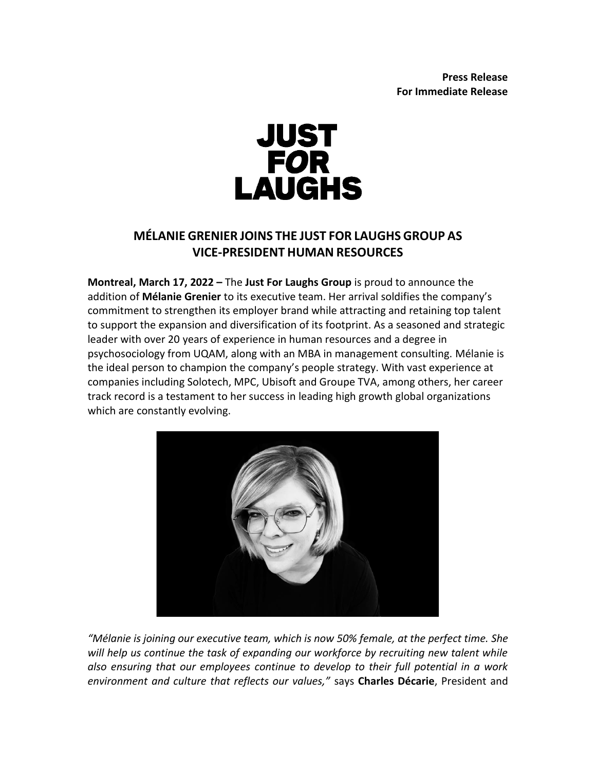

## **MÉLANIE GRENIER JOINS THE JUST FOR LAUGHS GROUP AS VICE-PRESIDENT HUMAN RESOURCES**

**Montreal, March 17, 2022 –** The **Just For Laughs Group** is proud to announce the addition of **Mélanie Grenier** to its executive team. Her arrival soldifies the company's commitment to strengthen its employer brand while attracting and retaining top talent to support the expansion and diversification of its footprint. As a seasoned and strategic leader with over 20 years of experience in human resources and a degree in psychosociology from UQAM, along with an MBA in management consulting. Mélanie is the ideal person to champion the company's people strategy. With vast experience at companies including Solotech, MPC, Ubisoft and Groupe TVA, among others, her career track record is a testament to her success in leading high growth global organizations which are constantly evolving.



*"Mélanie is joining our executive team, which is now 50% female, at the perfect time. She will help us continue the task of expanding our workforce by recruiting new talent while also ensuring that our employees continue to develop to their full potential in a work environment and culture that reflects our values,"* says **Charles Décarie**, President and